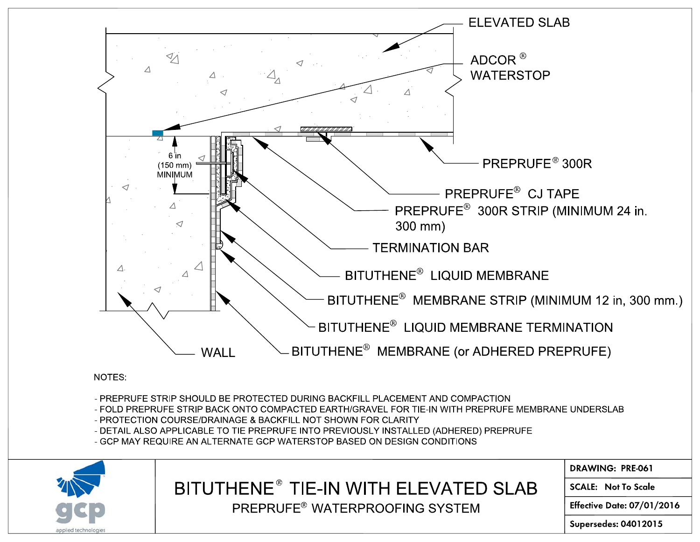

NOTES:

- PREPRUFE STRIP SHOULD BE PROTECTED DURING BACKFILL PLACEMENT AND COMPACTION
- FOLD PREPRUFE STRIP BACK ONTO COMPACTED EARTH/GRAVEL FOR TIE-IN WITH PREPRUFE MEMBRANE UNDERSLAB

**DRAWING: PRE-061** 

**SCALE: Not To Scale** 

**Supersedes: 04012015** 

**Effective Date: 07/01/2016** 

- 
- 
- 
- 
- 
- 
- 
- 
- 
- 
- 
- 
- 
- PROTECTION COURSE/DRAINAGE & BACKFILL NOT SHOWN FOR CLARITY

- GCP MAY REQUIRE AN ALTERNATE GCP WATERSTOP BASED ON DESIGN CONDITIONS

BITUTHENE<sup>®</sup> TIE-IN WITH ELEVATED SLAB

PREPRUFE® WATERPROOFING SYSTEM

- -
- 
- 
- 
- 

- DETAIL ALSO APPLICABLE TO TIE PREPRUFE INTO PREVIOUSLY INSTALLED (ADHERED) PREPRUFE